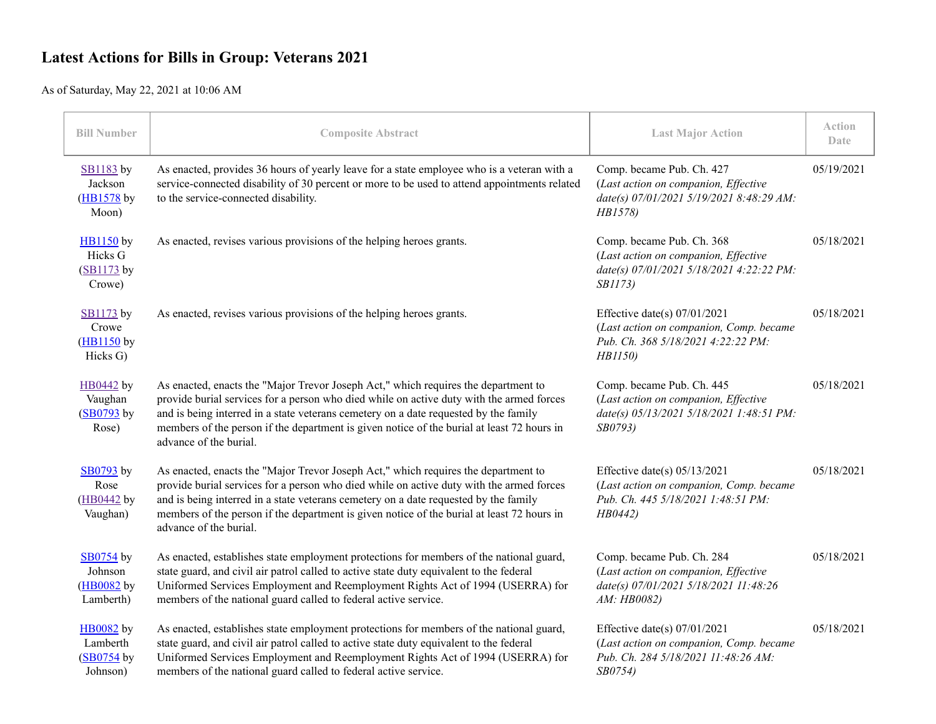## **Latest Actions for Bills in Group: Veterans 2021**

As of Saturday, May 22, 2021 at 10:06 AM

| Bill Number                                            | <b>Composite Abstract</b>                                                                                                                                                                                                                                                                                                                                                                      | <b>Last Major Action</b>                                                                                                         | <b>Action</b><br>Date |
|--------------------------------------------------------|------------------------------------------------------------------------------------------------------------------------------------------------------------------------------------------------------------------------------------------------------------------------------------------------------------------------------------------------------------------------------------------------|----------------------------------------------------------------------------------------------------------------------------------|-----------------------|
| SB1183 by<br>Jackson<br>$(HB1578$ by<br>Moon)          | As enacted, provides 36 hours of yearly leave for a state employee who is a veteran with a<br>service-connected disability of 30 percent or more to be used to attend appointments related<br>to the service-connected disability.                                                                                                                                                             | Comp. became Pub. Ch. 427<br>(Last action on companion, Effective<br>date(s) 07/01/2021 5/19/2021 8:48:29 AM:<br>HB1578)         | 05/19/2021            |
| HB1150 by<br>Hicks G<br>$(SB1173$ by<br>Crowe)         | As enacted, revises various provisions of the helping heroes grants.                                                                                                                                                                                                                                                                                                                           | Comp. became Pub. Ch. 368<br>(Last action on companion, Effective<br>date(s) 07/01/2021 5/18/2021 4:22:22 PM:<br>SB1173)         | 05/18/2021            |
| <b>SB1173</b> by<br>Crowe<br>$(HB1150$ by<br>Hicks G)  | As enacted, revises various provisions of the helping heroes grants.                                                                                                                                                                                                                                                                                                                           | Effective date(s) $07/01/2021$<br>(Last action on companion, Comp. became<br>Pub. Ch. 368 5/18/2021 4:22:22 PM:<br>HB1150)       | 05/18/2021            |
| HB0442 by<br>Vaughan<br>$(SB0793$ by<br>Rose)          | As enacted, enacts the "Major Trevor Joseph Act," which requires the department to<br>provide burial services for a person who died while on active duty with the armed forces<br>and is being interred in a state veterans cemetery on a date requested by the family<br>members of the person if the department is given notice of the burial at least 72 hours in<br>advance of the burial. | Comp. became Pub. Ch. 445<br>(Last action on companion, Effective<br>date(s) 05/13/2021 5/18/2021 1:48:51 PM:<br><i>SB0793</i> ) | 05/18/2021            |
| SB0793 by<br>Rose<br>(HB0442 by<br>Vaughan)            | As enacted, enacts the "Major Trevor Joseph Act," which requires the department to<br>provide burial services for a person who died while on active duty with the armed forces<br>and is being interred in a state veterans cemetery on a date requested by the family<br>members of the person if the department is given notice of the burial at least 72 hours in<br>advance of the burial. | Effective date(s) $05/13/2021$<br>(Last action on companion, Comp. became<br>Pub. Ch. 445 5/18/2021 1:48:51 PM:<br>HB0442)       | 05/18/2021            |
| SB0754 by<br>Johnson<br>$(HB0082)$ by<br>Lamberth)     | As enacted, establishes state employment protections for members of the national guard,<br>state guard, and civil air patrol called to active state duty equivalent to the federal<br>Uniformed Services Employment and Reemployment Rights Act of 1994 (USERRA) for<br>members of the national guard called to federal active service.                                                        | Comp. became Pub. Ch. 284<br>(Last action on companion, Effective<br>date(s) 07/01/2021 5/18/2021 11:48:26<br>AM: HB0082)        | 05/18/2021            |
| <b>HB0082</b> by<br>Lamberth<br>(SB0754 by<br>Johnson) | As enacted, establishes state employment protections for members of the national guard,<br>state guard, and civil air patrol called to active state duty equivalent to the federal<br>Uniformed Services Employment and Reemployment Rights Act of 1994 (USERRA) for<br>members of the national guard called to federal active service.                                                        | Effective date(s) $07/01/2021$<br>(Last action on companion, Comp. became<br>Pub. Ch. 284 5/18/2021 11:48:26 AM:<br>SB0754)      | 05/18/2021            |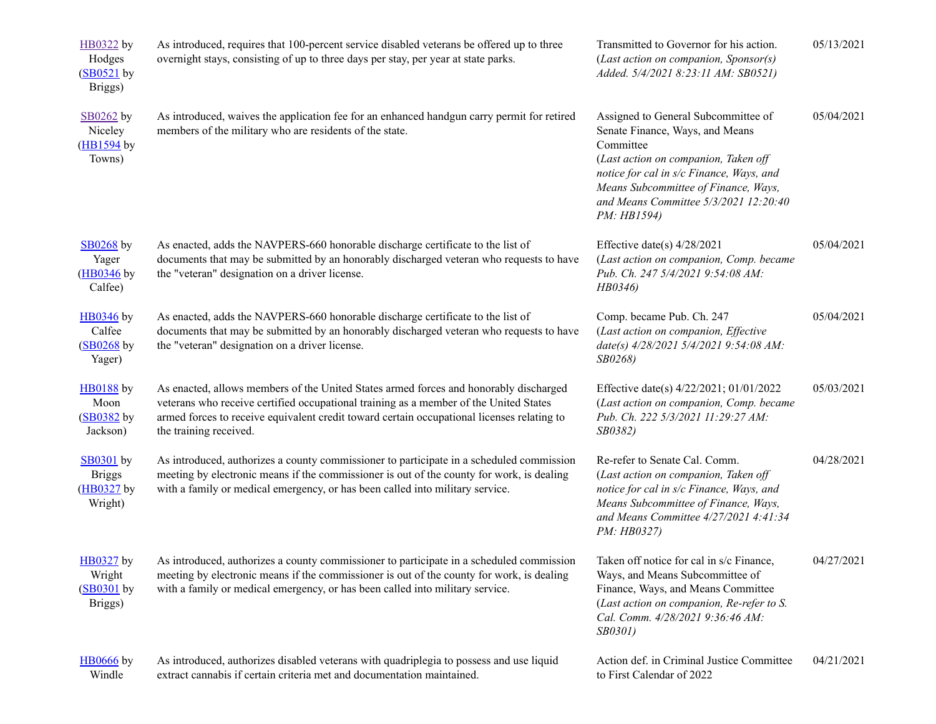| HB0322 by<br>Hodges<br>$(SB0521$ by<br>Briggs)             | As introduced, requires that 100-percent service disabled veterans be offered up to three<br>overnight stays, consisting of up to three days per stay, per year at state parks.                                                                                                                        | Transmitted to Governor for his action.<br>(Last action on companion, Sponsor(s)<br>Added. 5/4/2021 8:23:11 AM: SB0521)                                                                                                                                                 | 05/13/2021 |
|------------------------------------------------------------|--------------------------------------------------------------------------------------------------------------------------------------------------------------------------------------------------------------------------------------------------------------------------------------------------------|-------------------------------------------------------------------------------------------------------------------------------------------------------------------------------------------------------------------------------------------------------------------------|------------|
| SB0262 by<br>Niceley<br>$(HB1594)$ by<br>Towns)            | As introduced, waives the application fee for an enhanced handgun carry permit for retired<br>members of the military who are residents of the state.                                                                                                                                                  | Assigned to General Subcommittee of<br>Senate Finance, Ways, and Means<br>Committee<br>(Last action on companion, Taken off<br>notice for cal in s/c Finance, Ways, and<br>Means Subcommittee of Finance, Ways,<br>and Means Committee 5/3/2021 12:20:40<br>PM: HB1594) | 05/04/2021 |
| $SB0268$ by<br>Yager<br>(HB0346 by<br>Calfee)              | As enacted, adds the NAVPERS-660 honorable discharge certificate to the list of<br>documents that may be submitted by an honorably discharged veteran who requests to have<br>the "veteran" designation on a driver license.                                                                           | Effective date(s) $4/28/2021$<br>(Last action on companion, Comp. became<br>Pub. Ch. 247 5/4/2021 9:54:08 AM:<br>HB0346)                                                                                                                                                | 05/04/2021 |
| HB0346 by<br>Calfee<br>$(SB0268)$ by<br>Yager)             | As enacted, adds the NAVPERS-660 honorable discharge certificate to the list of<br>documents that may be submitted by an honorably discharged veteran who requests to have<br>the "veteran" designation on a driver license.                                                                           | Comp. became Pub. Ch. 247<br>(Last action on companion, Effective<br>date(s) 4/28/2021 5/4/2021 9:54:08 AM:<br>SB0268)                                                                                                                                                  | 05/04/2021 |
| <b>HB0188</b> by<br>Moon<br>(SB0382 by<br>Jackson)         | As enacted, allows members of the United States armed forces and honorably discharged<br>veterans who receive certified occupational training as a member of the United States<br>armed forces to receive equivalent credit toward certain occupational licenses relating to<br>the training received. | Effective date(s) 4/22/2021; 01/01/2022<br>(Last action on companion, Comp. became<br>Pub. Ch. 222 5/3/2021 11:29:27 AM:<br>SB0382)                                                                                                                                     | 05/03/2021 |
| <b>SB0301</b> by<br><b>Briggs</b><br>(HB0327 by<br>Wright) | As introduced, authorizes a county commissioner to participate in a scheduled commission<br>meeting by electronic means if the commissioner is out of the county for work, is dealing<br>with a family or medical emergency, or has been called into military service.                                 | Re-refer to Senate Cal. Comm.<br>(Last action on companion, Taken off<br>notice for cal in s/c Finance, Ways, and<br>Means Subcommittee of Finance, Ways,<br>and Means Committee 4/27/2021 4:41:34<br>PM: HB0327)                                                       | 04/28/2021 |
| HB0327 by<br>Wright<br>$(SB0301$ by<br>Briggs)             | As introduced, authorizes a county commissioner to participate in a scheduled commission<br>meeting by electronic means if the commissioner is out of the county for work, is dealing<br>with a family or medical emergency, or has been called into military service.                                 | Taken off notice for cal in s/c Finance,<br>Ways, and Means Subcommittee of<br>Finance, Ways, and Means Committee<br>(Last action on companion, Re-refer to S.<br>Cal. Comm. 4/28/2021 9:36:46 AM:<br>SB0301)                                                           | 04/27/2021 |
| <b>HB0666</b> by<br>Windle                                 | As introduced, authorizes disabled veterans with quadriplegia to possess and use liquid<br>extract cannabis if certain criteria met and documentation maintained.                                                                                                                                      | Action def. in Criminal Justice Committee<br>to First Calendar of 2022                                                                                                                                                                                                  | 04/21/2021 |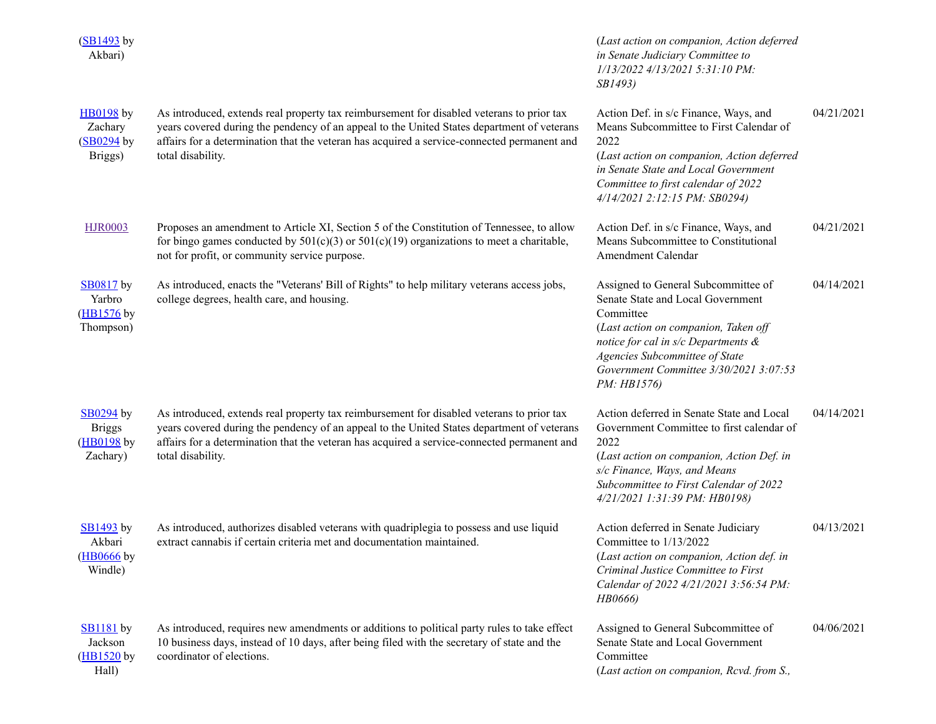| $(SB1493$ by<br>Akbari)                                     |                                                                                                                                                                                                                                                                                                             | (Last action on companion, Action deferred<br>in Senate Judiciary Committee to<br>1/13/2022 4/13/2021 5:31:10 PM:<br><i>SB1493</i> )                                                                                                                                 |            |
|-------------------------------------------------------------|-------------------------------------------------------------------------------------------------------------------------------------------------------------------------------------------------------------------------------------------------------------------------------------------------------------|----------------------------------------------------------------------------------------------------------------------------------------------------------------------------------------------------------------------------------------------------------------------|------------|
| $H$ B0198 by<br>Zachary<br>(SB0294 by<br>Briggs)            | As introduced, extends real property tax reimbursement for disabled veterans to prior tax<br>years covered during the pendency of an appeal to the United States department of veterans<br>affairs for a determination that the veteran has acquired a service-connected permanent and<br>total disability. | Action Def. in s/c Finance, Ways, and<br>Means Subcommittee to First Calendar of<br>2022<br>(Last action on companion, Action deferred<br>in Senate State and Local Government<br>Committee to first calendar of 2022<br>4/14/2021 2:12:15 PM: SB0294)               | 04/21/2021 |
| <b>HJR0003</b>                                              | Proposes an amendment to Article XI, Section 5 of the Constitution of Tennessee, to allow<br>for bingo games conducted by $501(c)(3)$ or $501(c)(19)$ organizations to meet a charitable,<br>not for profit, or community service purpose.                                                                  | Action Def. in s/c Finance, Ways, and<br>Means Subcommittee to Constitutional<br>Amendment Calendar                                                                                                                                                                  | 04/21/2021 |
| <b>SB0817</b> by<br>Yarbro<br>(HB1576 by<br>Thompson)       | As introduced, enacts the "Veterans' Bill of Rights" to help military veterans access jobs,<br>college degrees, health care, and housing.                                                                                                                                                                   | Assigned to General Subcommittee of<br>Senate State and Local Government<br>Committee<br>(Last action on companion, Taken off<br>notice for cal in $s/c$ Departments $\&$<br>Agencies Subcommittee of State<br>Government Committee 3/30/2021 3:07:53<br>PM: HB1576) | 04/14/2021 |
| <b>SB0294</b> by<br><b>Briggs</b><br>(HB0198 by<br>Zachary) | As introduced, extends real property tax reimbursement for disabled veterans to prior tax<br>years covered during the pendency of an appeal to the United States department of veterans<br>affairs for a determination that the veteran has acquired a service-connected permanent and<br>total disability. | Action deferred in Senate State and Local<br>Government Committee to first calendar of<br>2022<br>(Last action on companion, Action Def. in<br>s/c Finance, Ways, and Means<br>Subcommittee to First Calendar of 2022<br>4/21/2021 1:31:39 PM: HB0198)               | 04/14/2021 |
| <b>SB1493</b> by<br>Akbari<br>$(HB0666)$ by<br>Windle)      | As introduced, authorizes disabled veterans with quadriplegia to possess and use liquid<br>extract cannabis if certain criteria met and documentation maintained.                                                                                                                                           | Action deferred in Senate Judiciary<br>Committee to 1/13/2022<br>(Last action on companion, Action def. in<br>Criminal Justice Committee to First<br>Calendar of 2022 4/21/2021 3:56:54 PM:<br>HB0666)                                                               | 04/13/2021 |
| $SB1181$ by<br>Jackson<br>$(HB1520)$ by<br>Hall)            | As introduced, requires new amendments or additions to political party rules to take effect<br>10 business days, instead of 10 days, after being filed with the secretary of state and the<br>coordinator of elections.                                                                                     | Assigned to General Subcommittee of<br>Senate State and Local Government<br>Committee<br>(Last action on companion, Rcvd. from S.,                                                                                                                                   | 04/06/2021 |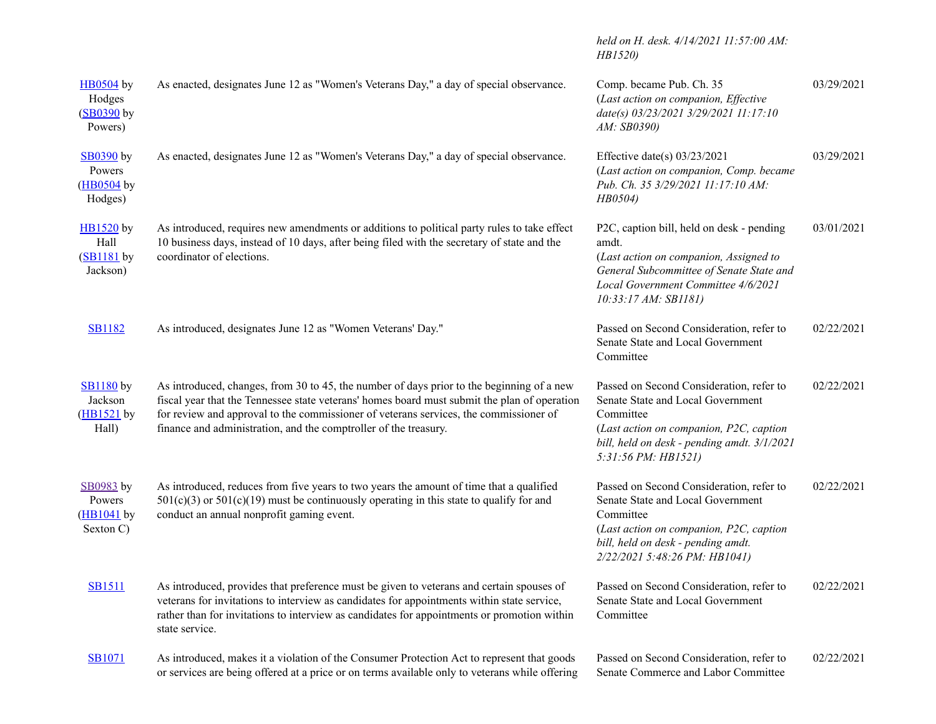|                                                             |                                                                                                                                                                                                                                                                                                                                                        | held on H. desk. 4/14/2021 11:57:00 AM:<br>HB1520)                                                                                                                                                           |            |
|-------------------------------------------------------------|--------------------------------------------------------------------------------------------------------------------------------------------------------------------------------------------------------------------------------------------------------------------------------------------------------------------------------------------------------|--------------------------------------------------------------------------------------------------------------------------------------------------------------------------------------------------------------|------------|
| <b>HB0504</b> by<br>Hodges<br>(SB0390 by<br>Powers)         | As enacted, designates June 12 as "Women's Veterans Day," a day of special observance.                                                                                                                                                                                                                                                                 | Comp. became Pub. Ch. 35<br>(Last action on companion, Effective<br>date(s) 03/23/2021 3/29/2021 11:17:10<br>AM: SB0390)                                                                                     | 03/29/2021 |
| <b>SB0390</b> by<br>Powers<br>(HB0504 by<br>Hodges)         | As enacted, designates June 12 as "Women's Veterans Day," a day of special observance.                                                                                                                                                                                                                                                                 | Effective date(s) $03/23/2021$<br>(Last action on companion, Comp. became<br>Pub. Ch. 35 3/29/2021 11:17:10 AM:<br>HB0504)                                                                                   | 03/29/2021 |
| $H\rightarrow B1520$ by<br>Hall<br>$(SB1181$ by<br>Jackson) | As introduced, requires new amendments or additions to political party rules to take effect<br>10 business days, instead of 10 days, after being filed with the secretary of state and the<br>coordinator of elections.                                                                                                                                | P2C, caption bill, held on desk - pending<br>amdt.<br>(Last action on companion, Assigned to<br>General Subcommittee of Senate State and<br>Local Government Committee 4/6/2021<br>10:33:17 AM: SB1181)      | 03/01/2021 |
| <b>SB1182</b>                                               | As introduced, designates June 12 as "Women Veterans' Day."                                                                                                                                                                                                                                                                                            | Passed on Second Consideration, refer to<br>Senate State and Local Government<br>Committee                                                                                                                   | 02/22/2021 |
| <b>SB1180</b> by<br>Jackson<br>(HB1521 by<br>Hall)          | As introduced, changes, from 30 to 45, the number of days prior to the beginning of a new<br>fiscal year that the Tennessee state veterans' homes board must submit the plan of operation<br>for review and approval to the commissioner of veterans services, the commissioner of<br>finance and administration, and the comptroller of the treasury. | Passed on Second Consideration, refer to<br>Senate State and Local Government<br>Committee<br>(Last action on companion, P2C, caption<br>bill, held on desk - pending amdt. 3/1/2021<br>5:31:56 PM: HB1521)  | 02/22/2021 |
| SB0983 by<br>Powers<br>$(HB1041$ by<br>Sexton C)            | As introduced, reduces from five years to two years the amount of time that a qualified<br>$501(c)(3)$ or $501(c)(19)$ must be continuously operating in this state to qualify for and<br>conduct an annual nonprofit gaming event.                                                                                                                    | Passed on Second Consideration, refer to<br>Senate State and Local Government<br>Committee<br>(Last action on companion, P2C, caption<br>bill, held on desk - pending amdt.<br>2/22/2021 5:48:26 PM: HB1041) | 02/22/2021 |
| <b>SB1511</b>                                               | As introduced, provides that preference must be given to veterans and certain spouses of<br>veterans for invitations to interview as candidates for appointments within state service,<br>rather than for invitations to interview as candidates for appointments or promotion within<br>state service.                                                | Passed on Second Consideration, refer to<br>Senate State and Local Government<br>Committee                                                                                                                   | 02/22/2021 |
| <b>SB1071</b>                                               | As introduced, makes it a violation of the Consumer Protection Act to represent that goods<br>or services are being offered at a price or on terms available only to veterans while offering                                                                                                                                                           | Passed on Second Consideration, refer to<br>Senate Commerce and Labor Committee                                                                                                                              | 02/22/2021 |
|                                                             |                                                                                                                                                                                                                                                                                                                                                        |                                                                                                                                                                                                              |            |